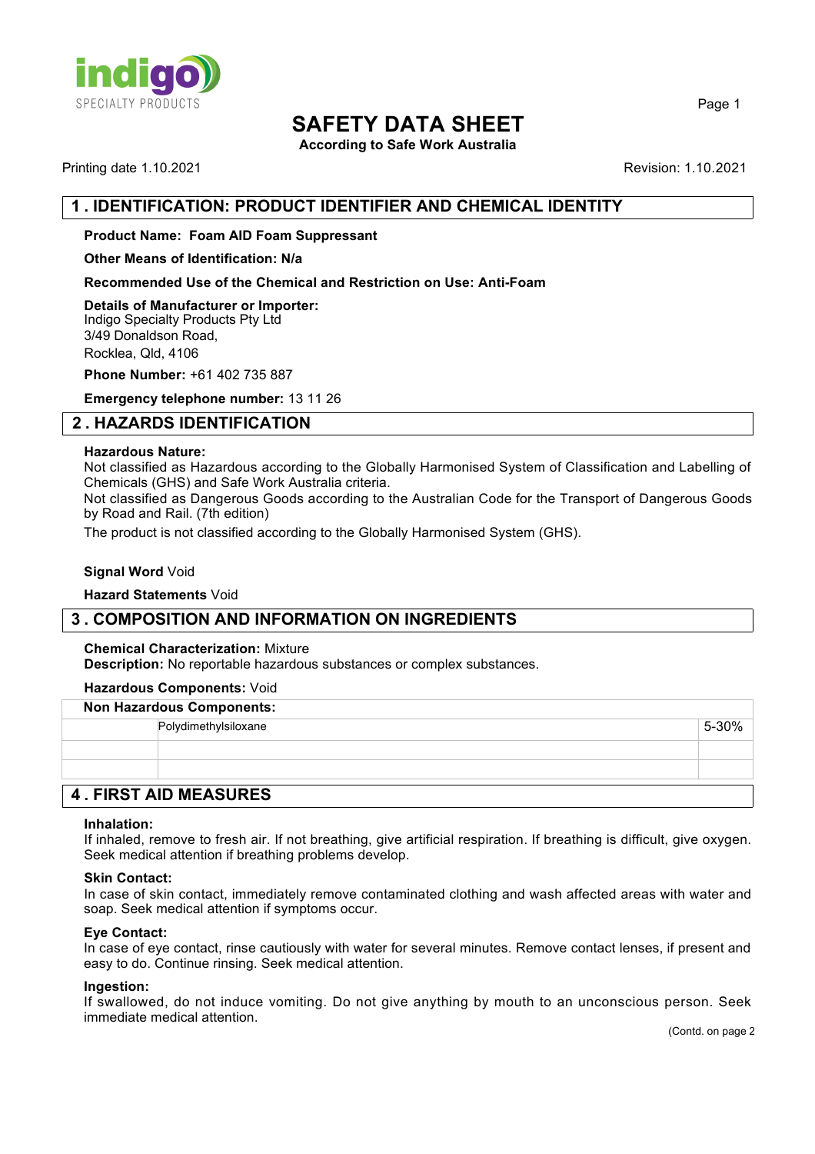

**According to Safe Work Australia**

Printing date 1.10.2021 Revision: 1.10.2021

Page 1

## **1 . IDENTIFICATION: PRODUCT IDENTIFIER AND CHEMICAL IDENTITY**

#### **Product Name: Foam AID Foam Suppressant**

**Other Means of Identification: N/a**

**Recommended Use of the Chemical and Restriction on Use: Anti-Foam**

**Details of Manufacturer or Importer:** Indigo Specialty Products Pty Ltd 3/49 Donaldson Road, Rocklea, Qld, 4106

**Phone Number:** +61 402 735 887

**Emergency telephone number:** 13 11 26

## **2 . HAZARDS IDENTIFICATION**

#### **Hazardous Nature:**

Not classified as Hazardous according to the Globally Harmonised System of Classification and Labelling of Chemicals (GHS) and Safe Work Australia criteria.

Not classified as Dangerous Goods according to the Australian Code for the Transport of Dangerous Goods by Road and Rail. (7th edition)

The product is not classified according to the Globally Harmonised System (GHS).

#### **Signal Word** Void

#### **Hazard Statements** Void

## **3 . COMPOSITION AND INFORMATION ON INGREDIENTS**

#### **Chemical Characterization:** Mixture

**Description:** No reportable hazardous substances or complex substances.

#### **Hazardous Components:** Void

| <b>Non Hazardous Components:</b> |                      |  |          |
|----------------------------------|----------------------|--|----------|
|                                  | Polydimethylsiloxane |  | $5-30\%$ |
|                                  |                      |  |          |
|                                  |                      |  |          |
| <b>A FIDOT AID MEACHDEC</b>      |                      |  |          |

## **4 . FIRST AID MEASURES**

#### **Inhalation:**

If inhaled, remove to fresh air. If not breathing, give artificial respiration. If breathing is difficult, give oxygen. Seek medical attention if breathing problems develop.

#### **Skin Contact:**

In case of skin contact, immediately remove contaminated clothing and wash affected areas with water and soap. Seek medical attention if symptoms occur.

#### **Eye Contact:**

In case of eye contact, rinse cautiously with water for several minutes. Remove contact lenses, if present and easy to do. Continue rinsing. Seek medical attention.

#### **Ingestion:**

If swallowed, do not induce vomiting. Do not give anything by mouth to an unconscious person. Seek immediate medical attention.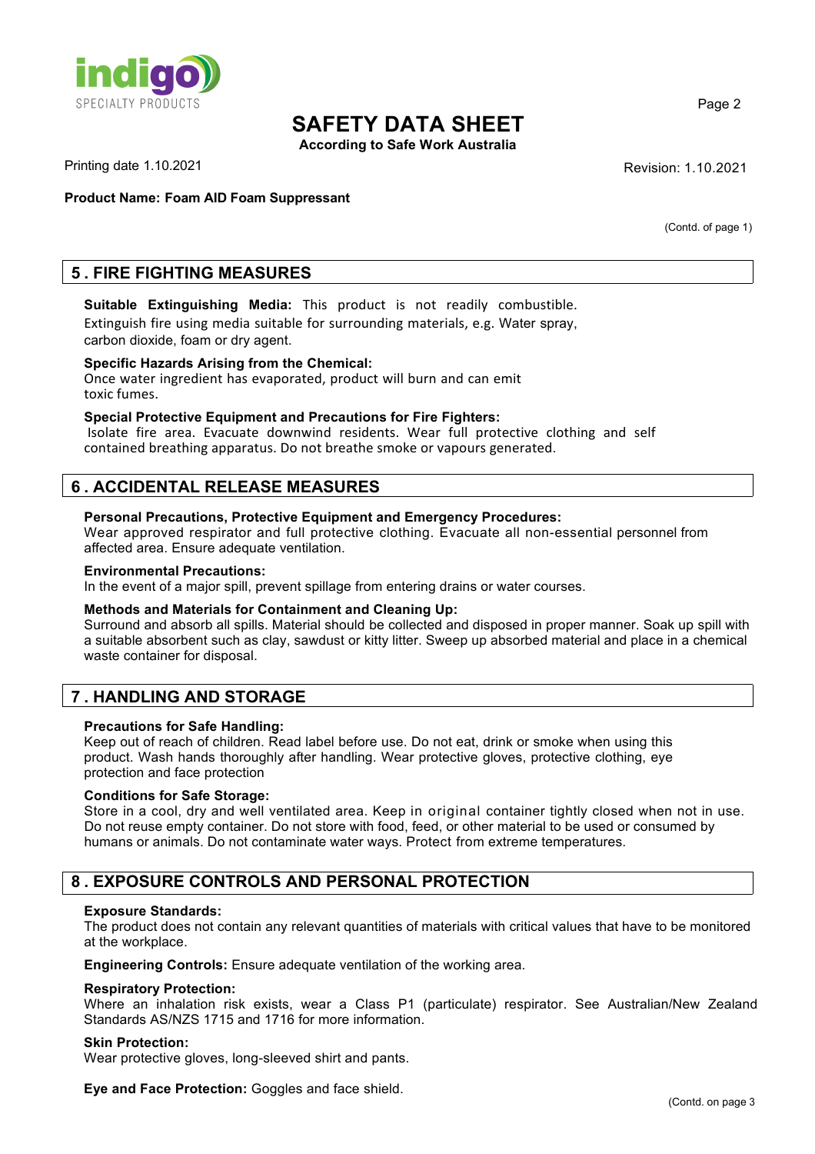

**According to Safe Work Australia**

Printing date 1.10.2021 **Revision: 1.10.2021** 

**Product Name: Foam AID Foam Suppressant**

(Contd. of page 1)

Page 2

## **5 . FIRE FIGHTING MEASURES**

## **Suitable Extinguishing Media:** This product is not readily combustible.

Extinguish fire using media suitable for surrounding materials, e.g. Water spray, carbon dioxide, foam or dry agent.

## **Specific Hazards Arising from the Chemical:**

Once water ingredient has evaporated, product will burn and can emit toxic fumes.

#### **Special Protective Equipment and Precautions for Fire Fighters:**

Isolate fire area. Evacuate downwind residents. Wear full protective clothing and self contained breathing apparatus. Do not breathe smoke or vapours generated.

## **6 . ACCIDENTAL RELEASE MEASURES**

#### **Personal Precautions, Protective Equipment and Emergency Procedures:**

Wear approved respirator and full protective clothing. Evacuate all non-essential personnel from affected area. Ensure adequate ventilation.

#### **Environmental Precautions:**

In the event of a major spill, prevent spillage from entering drains or water courses.

#### **Methods and Materials for Containment and Cleaning Up:**

Surround and absorb all spills. Material should be collected and disposed in proper manner. Soak up spill with a suitable absorbent such as clay, sawdust or kitty litter. Sweep up absorbed material and place in a chemical waste container for disposal.

## **7 . HANDLING AND STORAGE**

#### **Precautions for Safe Handling:**

Keep out of reach of children. Read label before use. Do not eat, drink or smoke when using this product. Wash hands thoroughly after handling. Wear protective gloves, protective clothing, eye protection and face protection

#### **Conditions for Safe Storage:**

Store in a cool, dry and well ventilated area. Keep in original container tightly closed when not in use. Do not reuse empty container. Do not store with food, feed, or other material to be used or consumed by humans or animals. Do not contaminate water ways. Protect from extreme temperatures.

## **8 . EXPOSURE CONTROLS AND PERSONAL PROTECTION**

#### **Exposure Standards:**

The product does not contain any relevant quantities of materials with critical values that have to be monitored at the workplace.

**Engineering Controls:** Ensure adequate ventilation of the working area.

#### **Respiratory Protection:**

Where an inhalation risk exists, wear a Class P1 (particulate) respirator. See Australian/New Zealand Standards AS/NZS 1715 and 1716 for more information.

#### **Skin Protection:**

Wear protective gloves, long-sleeved shirt and pants.

**Eye and Face Protection:** Goggles and face shield.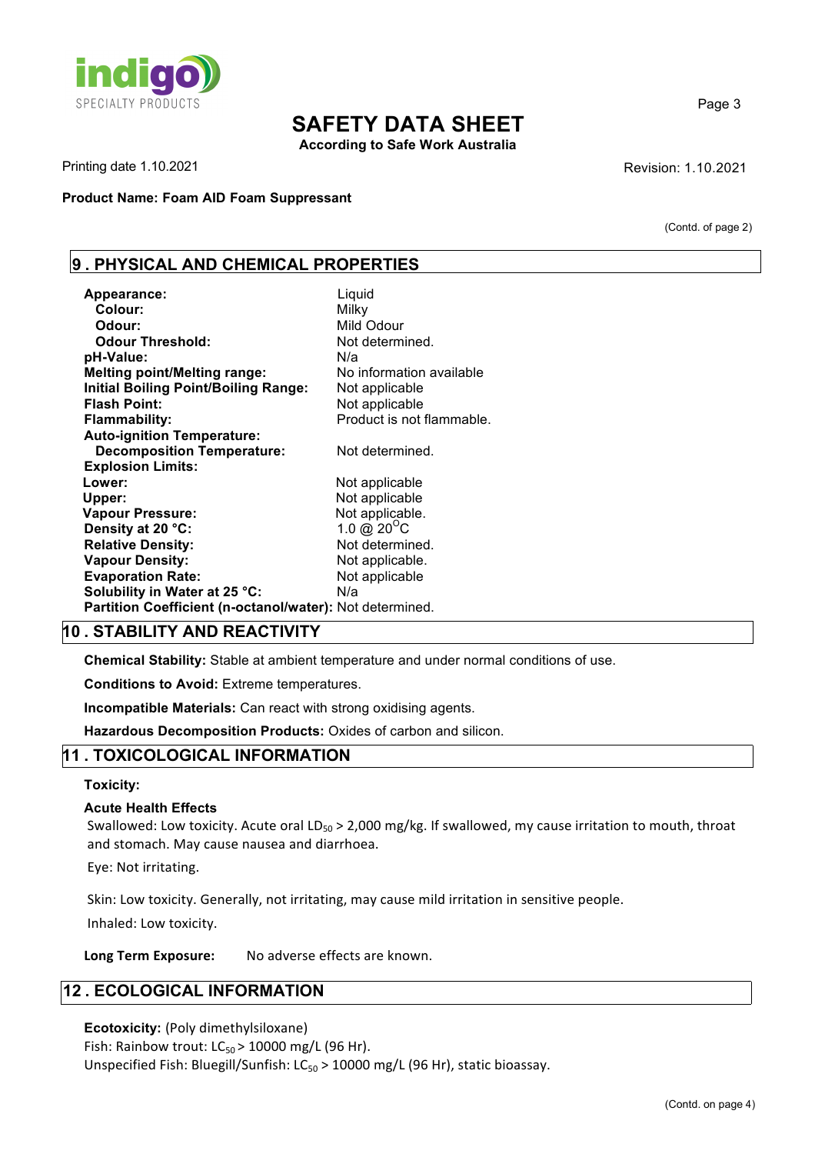

**According to Safe Work Australia**

Printing date 1.10.2021 **Revision: 1.10.2021** 

**Product Name: Foam AID Foam Suppressant** 

(Contd. of page 2)

Page 3

## **9 . PHYSICAL AND CHEMICAL PROPERTIES**

| Appearance:                                              | Liquid                    |
|----------------------------------------------------------|---------------------------|
| Colour:                                                  | Milky                     |
| Odour:                                                   | Mild Odour                |
| <b>Odour Threshold:</b>                                  | Not determined.           |
| pH-Value:                                                | N/a                       |
| <b>Melting point/Melting range:</b>                      | No information available  |
| <b>Initial Boiling Point/Boiling Range:</b>              | Not applicable            |
| <b>Flash Point:</b>                                      | Not applicable            |
| Flammability:                                            | Product is not flammable. |
| <b>Auto-ignition Temperature:</b>                        |                           |
| <b>Decomposition Temperature:</b>                        | Not determined.           |
| <b>Explosion Limits:</b>                                 |                           |
| Lower:                                                   | Not applicable            |
| Upper:                                                   | Not applicable            |
| <b>Vapour Pressure:</b>                                  | Not applicable.           |
| Density at 20 °C:                                        | 1.0 @ $20^{\circ}$ C      |
| <b>Relative Density:</b>                                 | Not determined.           |
| <b>Vapour Density:</b>                                   | Not applicable.           |
| <b>Evaporation Rate:</b>                                 | Not applicable            |
| Solubility in Water at 25 °C:                            | N/a                       |
| Partition Coefficient (n-octanol/water): Not determined. |                           |

## **10 . STABILITY AND REACTIVITY**

**Chemical Stability:** Stable at ambient temperature and under normal conditions of use.

**Conditions to Avoid:** Extreme temperatures.

**Incompatible Materials:** Can react with strong oxidising agents.

**Hazardous Decomposition Products:** Oxides of carbon and silicon.

## **11 . TOXICOLOGICAL INFORMATION**

#### **Toxicity:**

#### **Acute Health Effects**

Swallowed: Low toxicity. Acute oral LD<sub>50</sub> > 2,000 mg/kg. If swallowed, my cause irritation to mouth, throat and stomach. May cause nausea and diarrhoea.

Eye: Not irritating.

Skin: Low toxicity. Generally, not irritating, may cause mild irritation in sensitive people.

Inhaled: Low toxicity.

Long Term Exposure: No adverse effects are known.

## **12 . ECOLOGICAL INFORMATION**

#### **Ecotoxicity:** (Poly dimethylsiloxane)

Fish: Rainbow trout:  $LC_{50}$  > 10000 mg/L (96 Hr).

Unspecified Fish: Bluegill/Sunfish: LC<sub>50</sub> > 10000 mg/L (96 Hr), static bioassay.